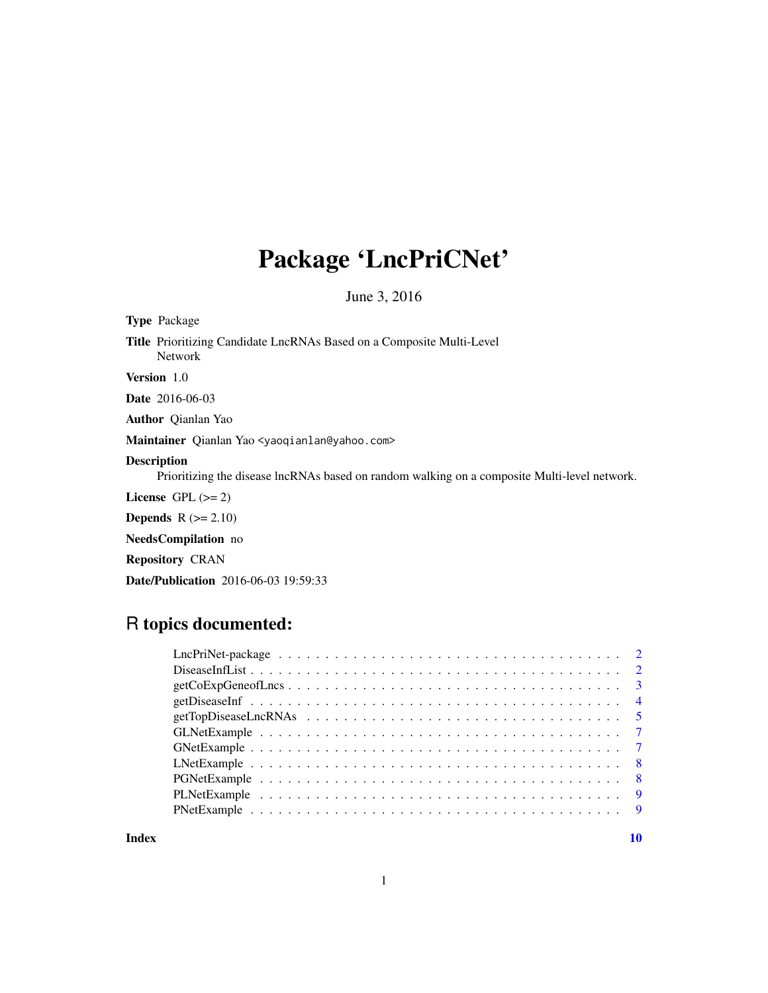# Package 'LncPriCNet'

June 3, 2016

| <b>Type Package</b>                                                                                                |  |
|--------------------------------------------------------------------------------------------------------------------|--|
| <b>Title</b> Prioritizing Candidate LncRNAs Based on a Composite Multi-Level<br><b>Network</b>                     |  |
| <b>Version</b> 1.0                                                                                                 |  |
| <b>Date</b> 2016-06-03                                                                                             |  |
| <b>Author</b> Qianlan Yao                                                                                          |  |
| Maintainer Qianlan Yao <yaoqianlan@yahoo.com></yaoqianlan@yahoo.com>                                               |  |
| <b>Description</b><br>Prioritizing the disease lncRNAs based on random walking on a composite Multi-level network. |  |
| License $GPL (= 2)$                                                                                                |  |
| <b>Depends</b> $R (= 2.10)$                                                                                        |  |
| <b>NeedsCompilation</b> no                                                                                         |  |
| <b>Repository CRAN</b>                                                                                             |  |

Date/Publication 2016-06-03 19:59:33

# R topics documented:

| $getCoExpGene of Lncs \ldots \ldots \ldots \ldots \ldots \ldots \ldots \ldots \ldots \ldots \ldots$ |  |
|-----------------------------------------------------------------------------------------------------|--|
|                                                                                                     |  |
|                                                                                                     |  |
|                                                                                                     |  |
|                                                                                                     |  |
|                                                                                                     |  |
|                                                                                                     |  |
|                                                                                                     |  |
|                                                                                                     |  |
|                                                                                                     |  |

 $\blacksquare$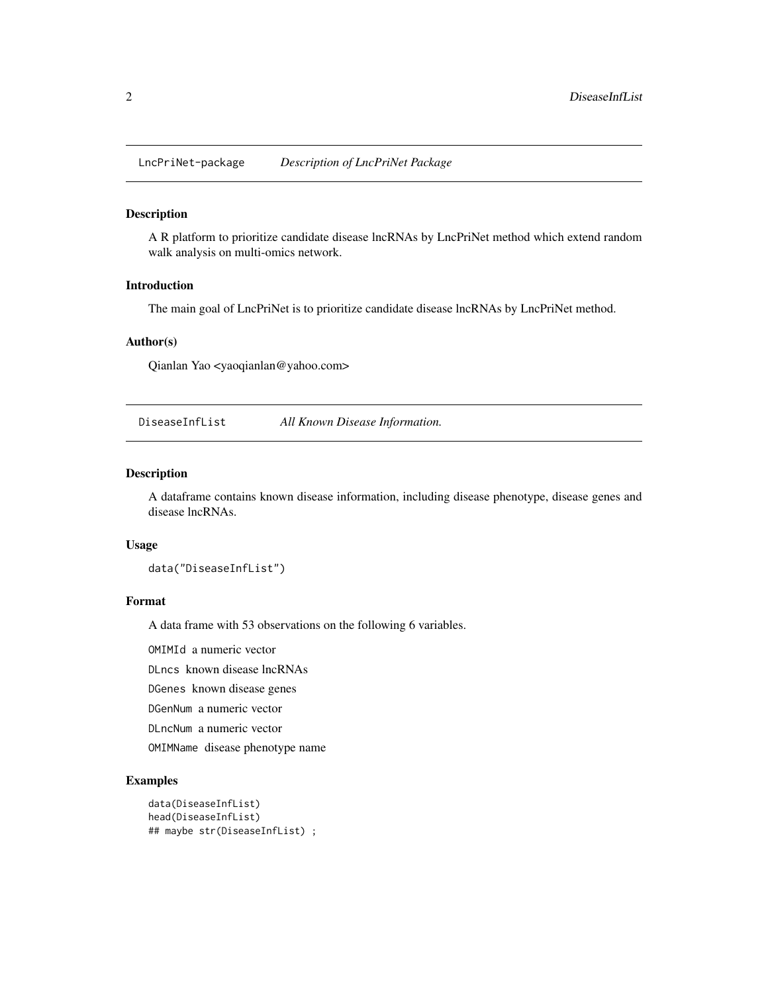<span id="page-1-0"></span>LncPriNet-package *Description of LncPriNet Package*

#### Description

A R platform to prioritize candidate disease lncRNAs by LncPriNet method which extend random walk analysis on multi-omics network.

#### Introduction

The main goal of LncPriNet is to prioritize candidate disease lncRNAs by LncPriNet method.

#### Author(s)

Qianlan Yao <yaoqianlan@yahoo.com>

<span id="page-1-1"></span>DiseaseInfList *All Known Disease Information.*

#### Description

A dataframe contains known disease information, including disease phenotype, disease genes and disease lncRNAs.

#### Usage

data("DiseaseInfList")

#### Format

A data frame with 53 observations on the following 6 variables.

OMIMId a numeric vector

DLncs known disease lncRNAs

DGenes known disease genes

DGenNum a numeric vector

DLncNum a numeric vector

OMIMName disease phenotype name

```
data(DiseaseInfList)
head(DiseaseInfList)
## maybe str(DiseaseInfList) ;
```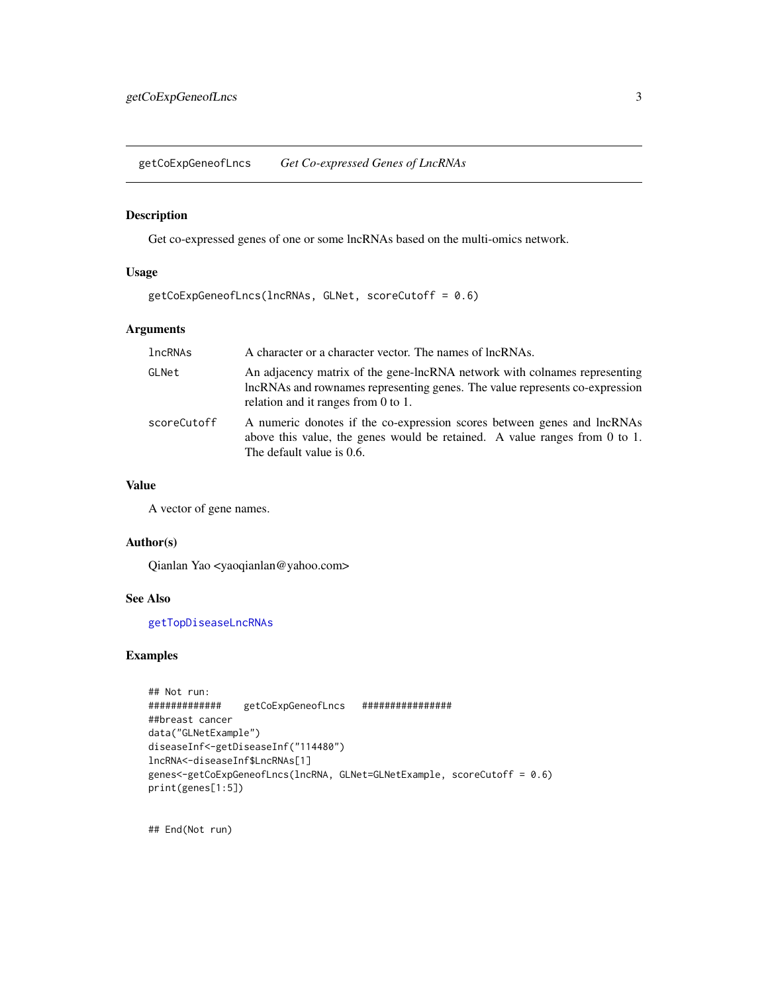<span id="page-2-1"></span><span id="page-2-0"></span>getCoExpGeneofLncs *Get Co-expressed Genes of LncRNAs*

# Description

Get co-expressed genes of one or some lncRNAs based on the multi-omics network.

# Usage

```
getCoExpGeneofLncs(lncRNAs, GLNet, scoreCutoff = 0.6)
```
# Arguments

| lncRNAs     | A character or a character vector. The names of lncRNAs.                                                                                                                                        |
|-------------|-------------------------------------------------------------------------------------------------------------------------------------------------------------------------------------------------|
| GLNet       | An adjacency matrix of the gene-lncRNA network with colnames representing<br>lncRNAs and rownames representing genes. The value represents co-expression<br>relation and it ranges from 0 to 1. |
| scoreCutoff | A numeric donotes if the co-expression scores between genes and lncRNAs<br>above this value, the genes would be retained. A value ranges from 0 to 1.<br>The default value is 0.6.              |

# Value

A vector of gene names.

#### Author(s)

Qianlan Yao <yaoqianlan@yahoo.com>

# See Also

[getTopDiseaseLncRNAs](#page-4-1)

# Examples

```
## Not run:
############# getCoExpGeneofLncs ################
##breast cancer
data("GLNetExample")
diseaseInf<-getDiseaseInf("114480")
lncRNA<-diseaseInf$LncRNAs[1]
genes<-getCoExpGeneofLncs(lncRNA, GLNet=GLNetExample, scoreCutoff = 0.6)
print(genes[1:5])
```
## End(Not run)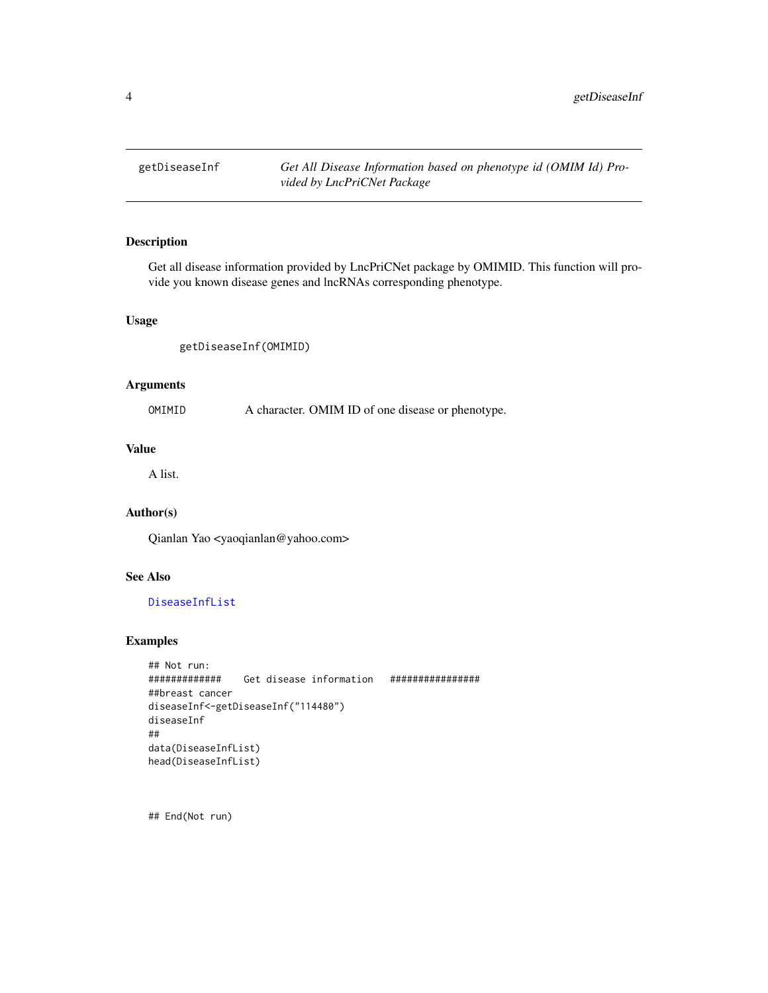<span id="page-3-1"></span><span id="page-3-0"></span>

# Description

Get all disease information provided by LncPriCNet package by OMIMID. This function will provide you known disease genes and lncRNAs corresponding phenotype.

#### Usage

getDiseaseInf(OMIMID)

# Arguments

OMIMID A character. OMIM ID of one disease or phenotype.

# Value

A list.

# Author(s)

Qianlan Yao <yaoqianlan@yahoo.com>

# See Also

[DiseaseInfList](#page-1-1)

# Examples

```
## Not run:
############# Get disease information ################
##breast cancer
diseaseInf<-getDiseaseInf("114480")
diseaseInf
##
data(DiseaseInfList)
head(DiseaseInfList)
```
## End(Not run)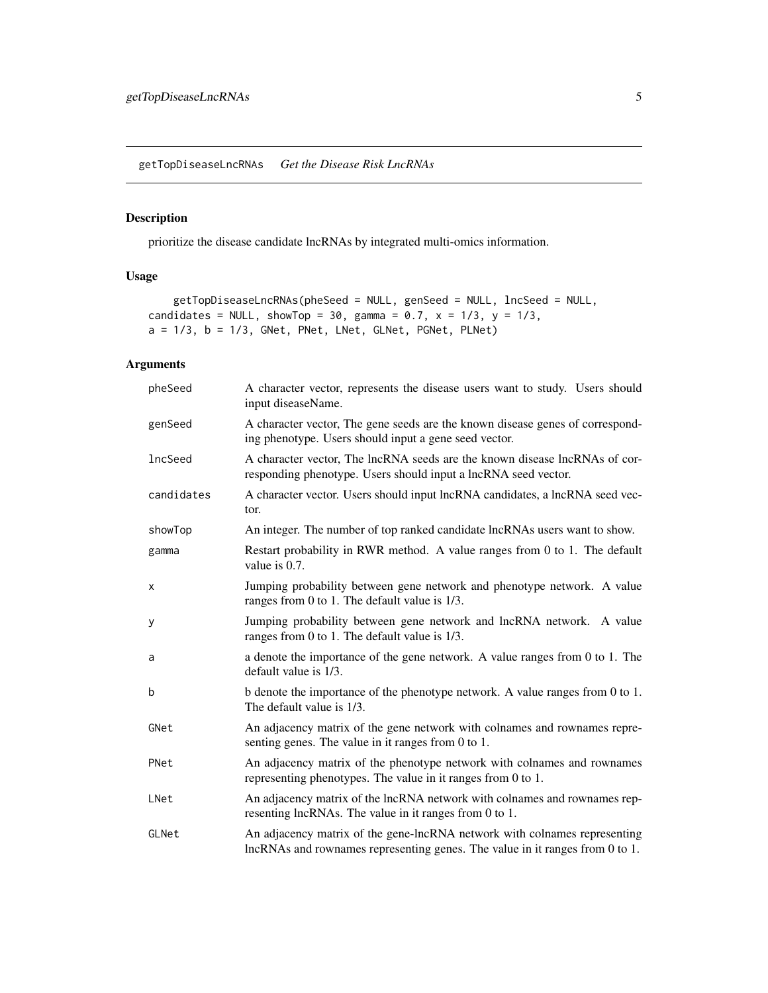<span id="page-4-1"></span><span id="page-4-0"></span>getTopDiseaseLncRNAs *Get the Disease Risk LncRNAs*

# Description

prioritize the disease candidate lncRNAs by integrated multi-omics information.

# Usage

```
getTopDiseaseLncRNAs(pheSeed = NULL, genSeed = NULL, lncSeed = NULL,
candidates = NULL, showTop = 30, gamma = 0.7, x = 1/3, y = 1/3,
a = 1/3, b = 1/3, GNet, PNet, LNet, GLNet, PGNet, PLNet)
```
# Arguments

| pheSeed    | A character vector, represents the disease users want to study. Users should<br>input diseaseName.                                                        |
|------------|-----------------------------------------------------------------------------------------------------------------------------------------------------------|
| genSeed    | A character vector, The gene seeds are the known disease genes of correspond-<br>ing phenotype. Users should input a gene seed vector.                    |
| lncSeed    | A character vector, The lncRNA seeds are the known disease lncRNAs of cor-<br>responding phenotype. Users should input a lncRNA seed vector.              |
| candidates | A character vector. Users should input lncRNA candidates, a lncRNA seed vec-<br>tor.                                                                      |
| showTop    | An integer. The number of top ranked candidate lncRNAs users want to show.                                                                                |
| gamma      | Restart probability in RWR method. A value ranges from 0 to 1. The default<br>value is 0.7.                                                               |
| X          | Jumping probability between gene network and phenotype network. A value<br>ranges from 0 to 1. The default value is 1/3.                                  |
| у          | Jumping probability between gene network and lncRNA network. A value<br>ranges from 0 to 1. The default value is 1/3.                                     |
| a          | a denote the importance of the gene network. A value ranges from 0 to 1. The<br>default value is 1/3.                                                     |
| b          | b denote the importance of the phenotype network. A value ranges from 0 to 1.<br>The default value is 1/3.                                                |
| GNet       | An adjacency matrix of the gene network with colnames and rownames repre-<br>senting genes. The value in it ranges from 0 to 1.                           |
| PNet       | An adjacency matrix of the phenotype network with colnames and rownames<br>representing phenotypes. The value in it ranges from 0 to 1.                   |
| LNet       | An adjacency matrix of the lncRNA network with colnames and rownames rep-<br>resenting lncRNAs. The value in it ranges from 0 to 1.                       |
| GLNet      | An adjacency matrix of the gene-lncRNA network with colnames representing<br>lncRNAs and rownames representing genes. The value in it ranges from 0 to 1. |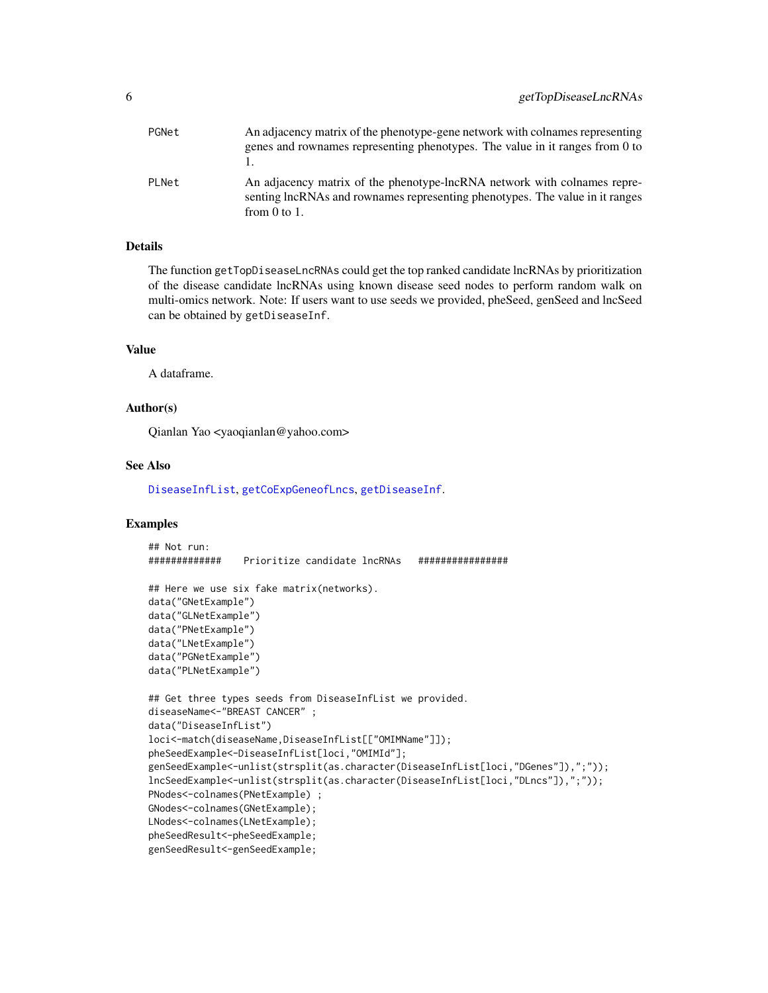<span id="page-5-0"></span>

| PGNet | An adjacency matrix of the phenotype-gene network with colnames representing<br>genes and rownames representing phenotypes. The value in it ranges from 0 to                  |
|-------|-------------------------------------------------------------------------------------------------------------------------------------------------------------------------------|
| PLNet | An adjacency matrix of the phenotype-lncRNA network with colnames repre-<br>senting lncRNAs and rownames representing phenotypes. The value in it ranges<br>from $0$ to $1$ . |

# **Details**

The function getTopDiseaseLncRNAs could get the top ranked candidate lncRNAs by prioritization of the disease candidate lncRNAs using known disease seed nodes to perform random walk on multi-omics network. Note: If users want to use seeds we provided, pheSeed, genSeed and lncSeed can be obtained by getDiseaseInf.

#### Value

A dataframe.

# Author(s)

Qianlan Yao <yaoqianlan@yahoo.com>

#### See Also

[DiseaseInfList](#page-1-1), [getCoExpGeneofLncs](#page-2-1), [getDiseaseInf](#page-3-1).

```
## Not run:<br>#############
                 ############# Prioritize candidate lncRNAs ################
## Here we use six fake matrix(networks).
data("GNetExample")
data("GLNetExample")
data("PNetExample")
data("LNetExample")
data("PGNetExample")
data("PLNetExample")
## Get three types seeds from DiseaseInfList we provided.
diseaseName<-"BREAST CANCER" ;
data("DiseaseInfList")
loci<-match(diseaseName,DiseaseInfList[["OMIMName"]]);
pheSeedExample<-DiseaseInfList[loci,"OMIMId"];
genSeedExample<-unlist(strsplit(as.character(DiseaseInfList[loci,"DGenes"]),";"));
lncSeedExample<-unlist(strsplit(as.character(DiseaseInfList[loci,"DLncs"]),";"));
PNodes<-colnames(PNetExample) ;
GNodes<-colnames(GNetExample);
LNodes<-colnames(LNetExample);
pheSeedResult<-pheSeedExample;
genSeedResult<-genSeedExample;
```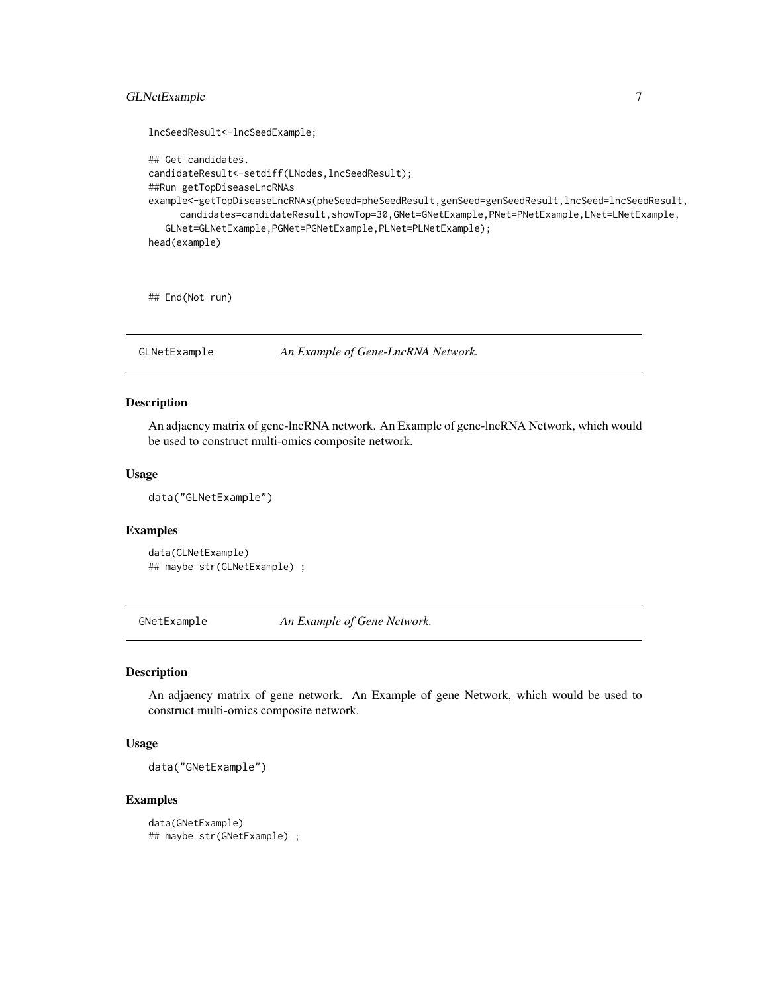# <span id="page-6-0"></span>GLNetExample 7

```
lncSeedResult<-lncSeedExample;
## Get candidates.
candidateResult<-setdiff(LNodes,lncSeedResult);
##Run getTopDiseaseLncRNAs
example<-getTopDiseaseLncRNAs(pheSeed=pheSeedResult,genSeed=genSeedResult,lncSeed=lncSeedResult,
     candidates=candidateResult,showTop=30,GNet=GNetExample,PNet=PNetExample,LNet=LNetExample,
  GLNet=GLNetExample,PGNet=PGNetExample,PLNet=PLNetExample);
head(example)
```
## End(Not run)

GLNetExample *An Example of Gene-LncRNA Network.*

#### Description

An adjaency matrix of gene-lncRNA network. An Example of gene-lncRNA Network, which would be used to construct multi-omics composite network.

#### Usage

data("GLNetExample")

# Examples

```
data(GLNetExample)
## maybe str(GLNetExample) ;
```
GNetExample *An Example of Gene Network.*

#### Description

An adjaency matrix of gene network. An Example of gene Network, which would be used to construct multi-omics composite network.

#### Usage

data("GNetExample")

```
data(GNetExample)
## maybe str(GNetExample) ;
```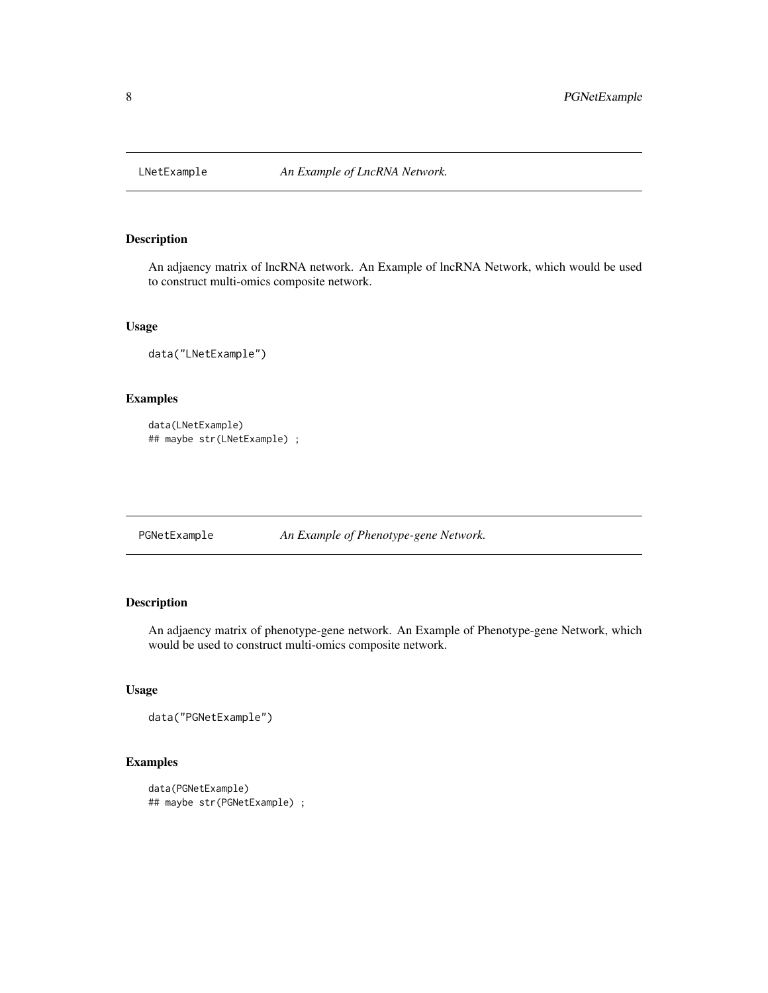<span id="page-7-0"></span>

# Description

An adjaency matrix of lncRNA network. An Example of lncRNA Network, which would be used to construct multi-omics composite network.

# Usage

data("LNetExample")

# Examples

```
data(LNetExample)
## maybe str(LNetExample) ;
```
PGNetExample *An Example of Phenotype-gene Network.*

# Description

An adjaency matrix of phenotype-gene network. An Example of Phenotype-gene Network, which would be used to construct multi-omics composite network.

## Usage

data("PGNetExample")

```
data(PGNetExample)
## maybe str(PGNetExample) ;
```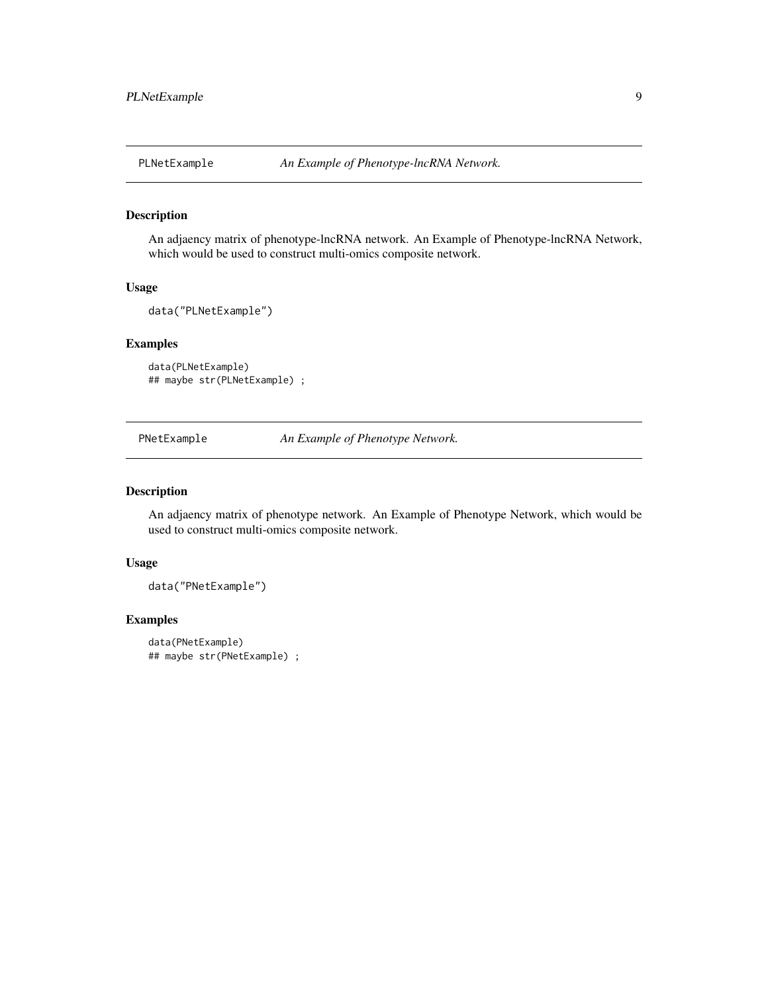<span id="page-8-0"></span>

# Description

An adjaency matrix of phenotype-lncRNA network. An Example of Phenotype-lncRNA Network, which would be used to construct multi-omics composite network.

#### Usage

```
data("PLNetExample")
```
# Examples

```
data(PLNetExample)
## maybe str(PLNetExample) ;
```
PNetExample *An Example of Phenotype Network.*

#### Description

An adjaency matrix of phenotype network. An Example of Phenotype Network, which would be used to construct multi-omics composite network.

#### Usage

data("PNetExample")

```
data(PNetExample)
## maybe str(PNetExample) ;
```